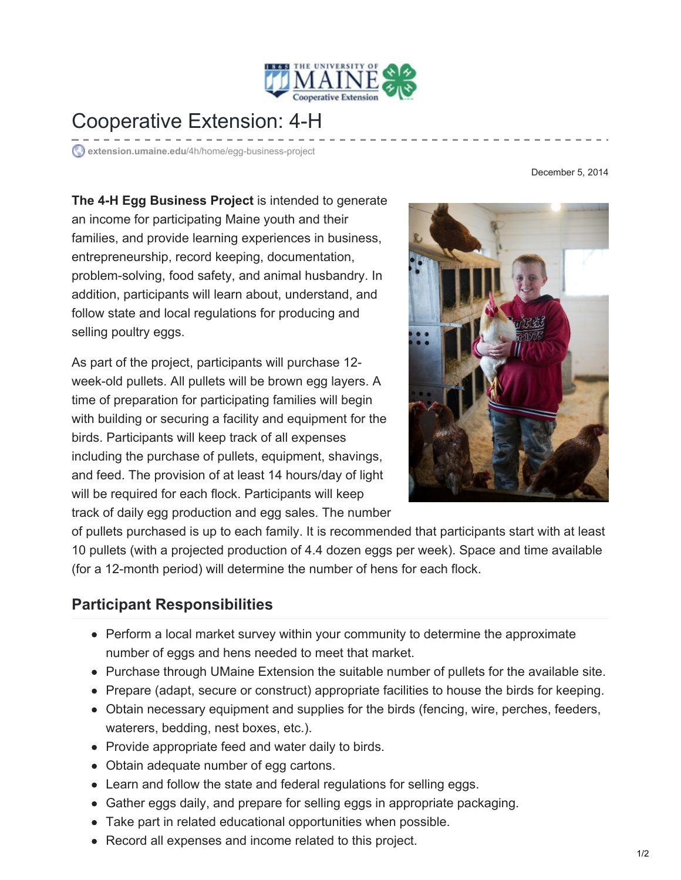

## Cooperative Extension: 4-H

**extension.umaine.edu**[/4h/home/egg-business-project](https://extension.umaine.edu/4h/home/egg-business-project/)

**The 4-H Egg Business Project** is intended to generate an income for participating Maine youth and their families, and provide learning experiences in business, entrepreneurship, record keeping, documentation, problem-solving, food safety, and animal husbandry. In addition, participants will learn about, understand, and follow state and local regulations for producing and selling poultry eggs.

As part of the project, participants will purchase 12 week-old pullets. All pullets will be brown egg layers. A time of preparation for participating families will begin with building or securing a facility and equipment for the birds. Participants will keep track of all expenses including the purchase of pullets, equipment, shavings, and feed. The provision of at least 14 hours/day of light will be required for each flock. Participants will keep track of daily egg production and egg sales. The number



of pullets purchased is up to each family. It is recommended that participants start with at least 10 pullets (with a projected production of 4.4 dozen eggs per week). Space and time available (for a 12-month period) will determine the number of hens for each flock.

### **Participant Responsibilities**

- Perform a local market survey within your community to determine the approximate number of eggs and hens needed to meet that market.
- Purchase through UMaine Extension the suitable number of pullets for the available site.
- Prepare (adapt, secure or construct) appropriate facilities to house the birds for keeping.
- Obtain necessary equipment and supplies for the birds (fencing, wire, perches, feeders, waterers, bedding, nest boxes, etc.).
- Provide appropriate feed and water daily to birds.
- Obtain adequate number of egg cartons.
- Learn and follow the state and federal regulations for selling eggs.
- Gather eggs daily, and prepare for selling eggs in appropriate packaging.
- Take part in related educational opportunities when possible.
- Record all expenses and income related to this project.

#### December 5, 2014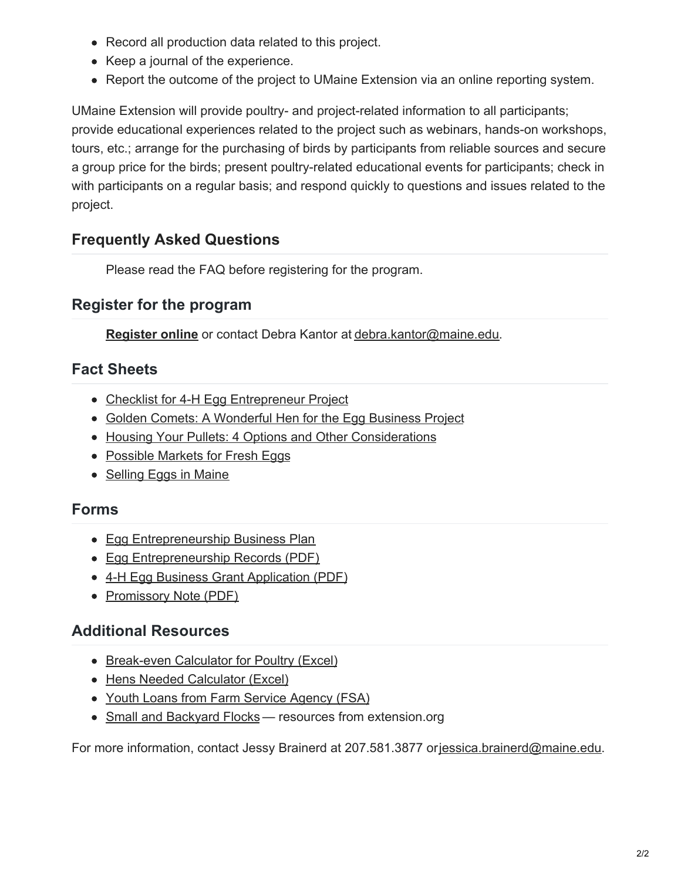- Record all production data related to this project.
- Keep a journal of the experience.
- Report the outcome of the project to UMaine Extension via an online reporting system.

UMaine Extension will provide poultry- and project-related information to all participants; provide educational experiences related to the project such as webinars, hands-on workshops, tours, etc.; arrange for the purchasing of birds by participants from reliable sources and secure a group price for the birds; present poultry-related educational events for participants; check in with participants on a regular basis; and respond quickly to questions and issues related to the project.

### **[Frequently](https://extension.umaine.edu/4h/home/egg-business-project/faq/) Asked Questions**

Please read the FAQ before registering for the program.

#### **Register for the program**

**[Register](https://extension.umaine.edu/forms/4h/egg-business-project/) online** or contact Debra Kantor at [debra.kantor@maine.edu](mailto:debra.kantor@maine.edu).

#### **Fact Sheets**

- Checklist for 4-H Egg [Entrepreneur](https://extension.umaine.edu/4h/home/egg-business-project/checklist/) Project
- Golden Comets: A [Wonderful](https://extension.umaine.edu/4h/home/egg-business-project/golden-comets/) Hen for the Egg Business Project
- Housing Your Pullets: 4 Options and Other [Considerations](https://extension.umaine.edu/4h/home/egg-business-project/housing-your-pullets/)
- [Possible](https://extension.umaine.edu/4h/home/egg-business-project/possible-markets-for-fresh-eggs/) Markets for Fresh Eggs
- [Selling](https://extension.umaine.edu/publications/2218e/) Eggs in Maine

#### **Forms**

- Egg [Entrepreneurship](https://extension.umaine.edu/4h/home/egg-business-project/business-plan/) Business Plan
- Egg [Entrepreneurship](https://extension.umaine.edu/4h/wp-content/uploads/sites/49/2014/12/2017-poultry-entrepreneurship-packet.pdf) Records (PDF)
- 4-H Egg Business Grant [Application](https://extension.umaine.edu/4h/wp-content/uploads/sites/49/2014/12/2017-Poultry-Grant-application.pdf) (PDF)
- [Promissory](https://extension.umaine.edu/4h/wp-content/uploads/sites/49/2014/12/2017-Promissory-Note.pdf) Note (PDF)

### **Additional Resources**

- [Break-even](https://extension.umaine.edu/4h/wp-content/uploads/sites/49/2014/12/Poultry-break-even-calculator-II-Blank-Oct2014.xls) Calculator for Poultry (Excel)
- Hens Needed [Calculator](https://extension.umaine.edu/4h/wp-content/uploads/sites/49/2014/12/Hens-Needed.xls) (Excel)
- Youth Loans from Farm Service [Agency](https://extension.umaine.edu/4h/home/egg-business-project/youth-loans-from-fsa/) (FSA)
- Small and [Backyard](http://www.extension.org/poultry) Flocks resources from extension.org

For more information, contact Jessy Brainerd at 207.581.3877 or[jessica.brainerd@maine.edu](mailto:jessica.brainerd@maine.edu).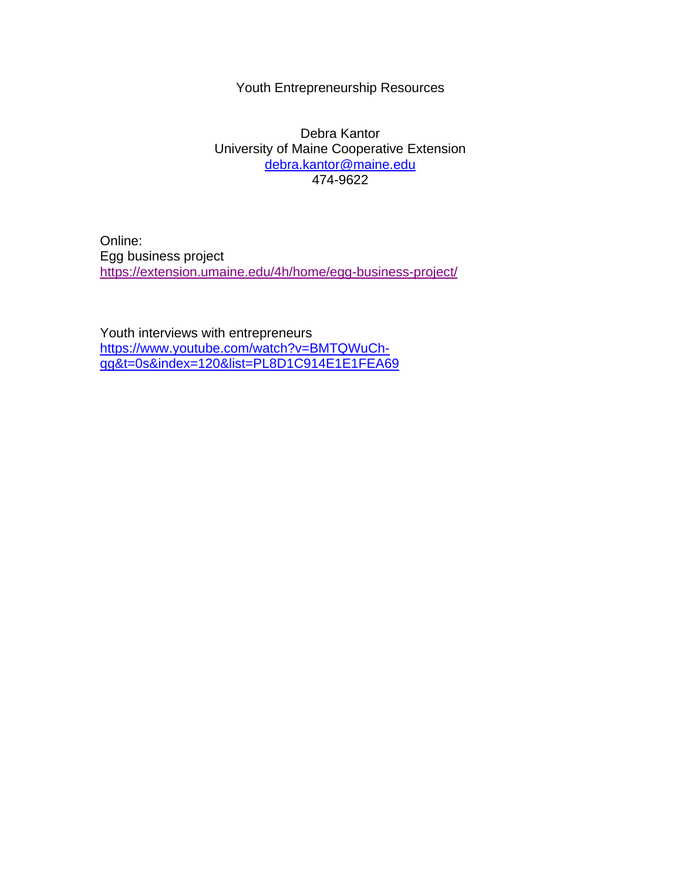#### Youth Entrepreneurship Resources

Debra Kantor University of Maine Cooperative Extension [debra.kantor@maine.edu](mailto:debra.kantor@maine.edu) 474-9622

Online: Egg business project <https://extension.umaine.edu/4h/home/egg-business-project/>

Youth interviews with entrepreneurs [https://www.youtube.com/watch?v=BMTQWuCh](https://www.youtube.com/watch?v=BMTQWuCh-qg&t=0s&index=120&list=PL8D1C914E1E1FEA69)[qg&t=0s&index=120&list=PL8D1C914E1E1FEA69](https://www.youtube.com/watch?v=BMTQWuCh-qg&t=0s&index=120&list=PL8D1C914E1E1FEA69)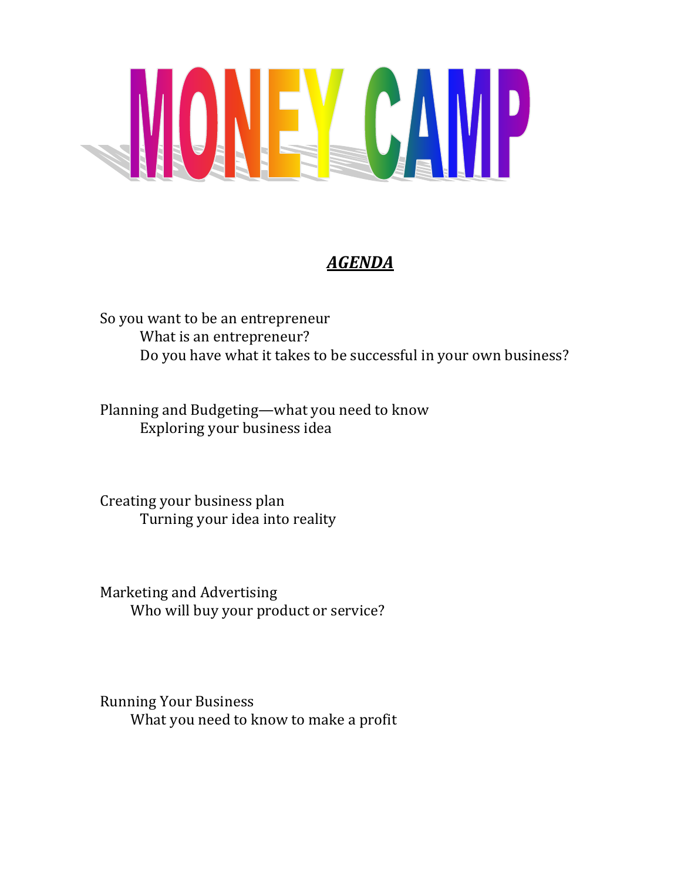

# *AGENDA*

So you want to be an entrepreneur What is an entrepreneur? Do you have what it takes to be successful in your own business?

Planning and Budgeting—what you need to know Exploring your business idea

Creating your business plan Turning your idea into reality

Marketing and Advertising Who will buy your product or service?

Running Your Business What you need to know to make a profit